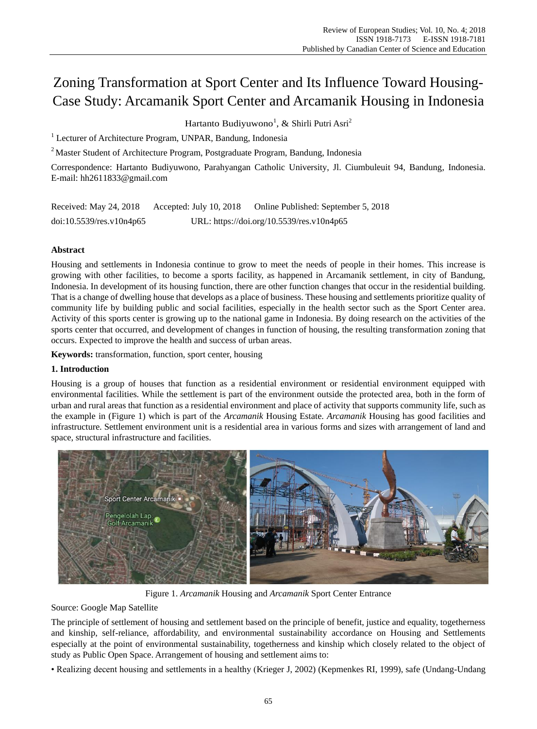# Zoning Transformation at Sport Center and Its Influence Toward Housing-Case Study: Arcamanik Sport Center and Arcamanik Housing in Indonesia

Hartanto Budiyuwono<sup>1</sup>, & Shirli Putri Asri<sup>2</sup>

<sup>1</sup> Lecturer of Architecture Program, UNPAR, Bandung, Indonesia

<sup>2</sup> Master Student of Architecture Program, Postgraduate Program, Bandung, Indonesia

Correspondence: Hartanto Budiyuwono, Parahyangan Catholic University, Jl. Ciumbuleuit 94, Bandung, Indonesia. E-mail: hh2611833@gmail.com

| Received: May 24, 2018   | Accepted: July 10, 2018                   | Online Published: September 5, 2018 |
|--------------------------|-------------------------------------------|-------------------------------------|
| doi:10.5539/res.v10n4p65 | URL: https://doi.org/10.5539/res.v10n4p65 |                                     |

# **Abstract**

Housing and settlements in Indonesia continue to grow to meet the needs of people in their homes. This increase is growing with other facilities, to become a sports facility, as happened in Arcamanik settlement, in city of Bandung, Indonesia. In development of its housing function, there are other function changes that occur in the residential building. That is a change of dwelling house that develops as a place of business. These housing and settlements prioritize quality of community life by building public and social facilities, especially in the health sector such as the Sport Center area. Activity of this sports center is growing up to the national game in Indonesia. By doing research on the activities of the sports center that occurred, and development of changes in function of housing, the resulting transformation zoning that occurs. Expected to improve the health and success of urban areas.

**Keywords:** transformation, function, sport center, housing

# **1. Introduction**

Housing is a group of houses that function as a residential environment or residential environment equipped with environmental facilities. While the settlement is part of the environment outside the protected area, both in the form of urban and rural areas that function as a residential environment and place of activity that supports community life, such as the example in (Figure 1) which is part of the *Arcamanik* Housing Estate. *Arcamanik* Housing has good facilities and infrastructure. Settlement environment unit is a residential area in various forms and sizes with arrangement of land and space, structural infrastructure and facilities.



Figure 1. *Arcamanik* Housing and *Arcamanik* Sport Center Entrance

Source: Google Map Satellite

The principle of settlement of housing and settlement based on the principle of benefit, justice and equality, togetherness and kinship, self-reliance, affordability, and environmental sustainability accordance on Housing and Settlements especially at the point of environmental sustainability, togetherness and kinship which closely related to the object of study as Public Open Space. Arrangement of housing and settlement aims to:

• Realizing decent housing and settlements in a healthy (Krieger J, 2002) (Kepmenkes RI, 1999), safe (Undang-Undang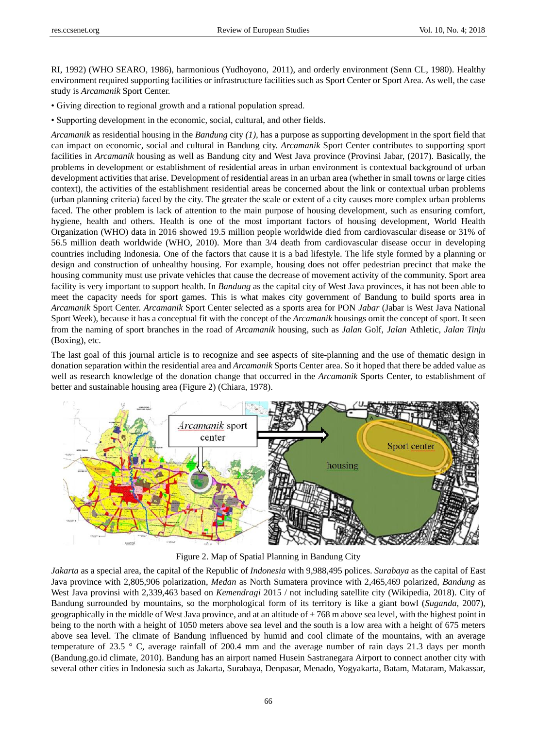RI, 1992) (WHO SEARO, 1986), harmonious (Yudhoyono, 2011), and orderly environment (Senn CL, 1980). Healthy environment required supporting facilities or infrastructure facilities such as Sport Center or Sport Area. As well, the case study is *Arcamanik* Sport Center.

- Giving direction to regional growth and a rational population spread.
- Supporting development in the economic, social, cultural, and other fields.

*Arcamanik* as residential housing in the *Bandung* city *(1),* has a purpose as supporting development in the sport field that can impact on economic, social and cultural in Bandung city. *Arcamanik* Sport Center contributes to supporting sport facilities in *Arcamanik* housing as well as Bandung city and West Java province (Provinsi Jabar, (2017). Basically, the problems in development or establishment of residential areas in urban environment is contextual background of urban development activities that arise. Development of residential areas in an urban area (whether in small towns or large cities context), the activities of the establishment residential areas be concerned about the link or contextual urban problems (urban planning criteria) faced by the city. The greater the scale or extent of a city causes more complex urban problems faced. The other problem is lack of attention to the main purpose of housing development, such as ensuring comfort, hygiene, health and others. Health is one of the most important factors of housing development, World Health Organization (WHO) data in 2016 showed 19.5 million people worldwide died from cardiovascular disease or 31% of 56.5 million death worldwide (WHO, 2010). More than 3/4 death from cardiovascular disease occur in developing countries including Indonesia. One of the factors that cause it is a bad lifestyle. The life style formed by a planning or design and construction of unhealthy housing. For example, housing does not offer pedestrian precinct that make the housing community must use private vehicles that cause the decrease of movement activity of the community. Sport area facility is very important to support health. In *Bandung* as the capital city of West Java provinces, it has not been able to meet the capacity needs for sport games. This is what makes city government of Bandung to build sports area in *Arcamanik* Sport Center. *Arcamanik* Sport Center selected as a sports area for PON *Jabar* (Jabar is West Java National Sport Week), because it has a conceptual fit with the concept of the *Arcamanik* housings omit the concept of sport. It seen from the naming of sport branches in the road of *Arcamanik* housing, such as *Jalan* Golf, *Jalan* Athletic, *Jalan Tinju* (Boxing), etc.

The last goal of this journal article is to recognize and see aspects of site-planning and the use of thematic design in donation separation within the residential area and *Arcamanik* Sports Center area. So it hoped that there be added value as well as research knowledge of the donation change that occurred in the *Arcamanik* Sports Center, to establishment of better and sustainable housing area (Figure 2) (Chiara, 1978).



Figure 2. Map of Spatial Planning in Bandung City

*Jakarta* as a special area, the capital of the Republic of *Indonesia* with 9,988,495 polices. *Surabaya* as the capital of East Java province with 2,805,906 polarization, *Medan* as North Sumatera province with 2,465,469 polarized, *Bandung* as West Java provinsi with 2,339,463 based on *Kemendragi* 2015 / not including satellite city (Wikipedia, 2018). City of Bandung surrounded by mountains, so the morphological form of its territory is like a giant bowl (*Suganda*, 2007), geographically in the middle of West Java province, and at an altitude of  $\pm 768$  m above sea level, with the highest point in being to the north with a height of 1050 meters above sea level and the south is a low area with a height of 675 meters above sea level. The climate of Bandung influenced by humid and cool climate of the mountains, with an average temperature of 23.5 ° C, average rainfall of 200.4 mm and the average number of rain days 21.3 days per month (Bandung.go.id climate, 2010). Bandung has an airport named Husein Sastranegara Airport to connect another city with several other cities in Indonesia such as Jakarta, Surabaya, Denpasar, Menado, Yogyakarta, Batam, Mataram, Makassar,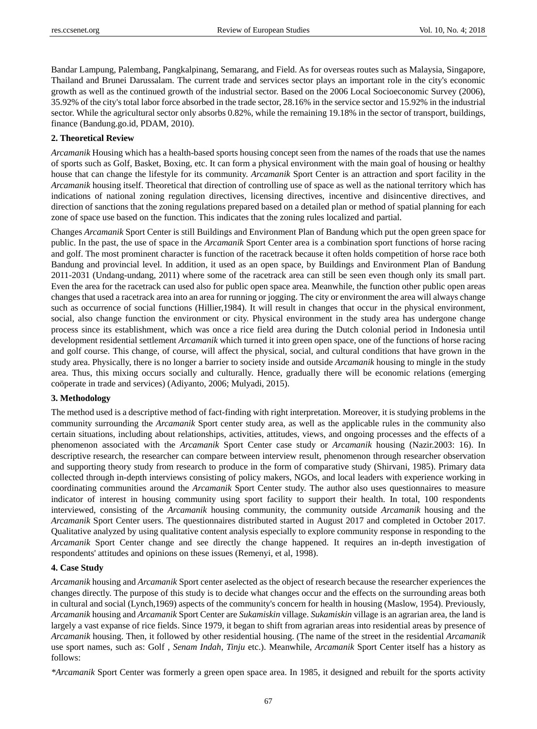Bandar Lampung, Palembang, Pangkalpinang, Semarang, and Field. As for overseas routes such as Malaysia, Singapore, Thailand and Brunei Darussalam. The current trade and services sector plays an important role in the city's economic growth as well as the continued growth of the industrial sector. Based on the 2006 Local Socioeconomic Survey (2006), 35.92% of the city's total labor force absorbed in the trade sector, 28.16% in the service sector and 15.92% in the industrial sector. While the agricultural sector only absorbs 0.82%, while the remaining 19.18% in the sector of transport, buildings, finance (Bandung.go.id, PDAM, 2010).

## **2. Theoretical Review**

*Arcamanik* Housing which has a health-based sports housing concept seen from the names of the roads that use the names of sports such as Golf, Basket, Boxing, etc. It can form a physical environment with the main goal of housing or healthy house that can change the lifestyle for its community. *Arcamanik* Sport Center is an attraction and sport facility in the *Arcamanik* housing itself. Theoretical that direction of controlling use of space as well as the national territory which has indications of national zoning regulation directives, licensing directives, incentive and disincentive directives, and direction of sanctions that the zoning regulations prepared based on a detailed plan or method of spatial planning for each zone of space use based on the function. This indicates that the zoning rules localized and partial.

Changes *Arcamanik* Sport Center is still Buildings and Environment Plan of Bandung which put the open green space for public. In the past, the use of space in the *Arcamanik* Sport Center area is a combination sport functions of horse racing and golf. The most prominent character is function of the racetrack because it often holds competition of horse race both Bandung and provincial level. In addition, it used as an open space, by Buildings and Environment Plan of Bandung 2011-2031 (Undang-undang, 2011) where some of the racetrack area can still be seen even though only its small part. Even the area for the racetrack can used also for public open space area. Meanwhile, the function other public open areas changes that used a racetrack area into an area for running or jogging. The city or environment the area will always change such as occurrence of social functions (Hillier,1984). It will result in changes that occur in the physical environment, social, also change function the environment or city. Physical environment in the study area has undergone change process since its establishment, which was once a rice field area during the Dutch colonial period in Indonesia until development residential settlement *Arcamanik* which turned it into green open space, one of the functions of horse racing and golf course. This change, of course, will affect the physical, social, and cultural conditions that have grown in the study area. Physically, there is no longer a barrier to society inside and outside *Arcamanik* housing to mingle in the study area. Thus, this mixing occurs socially and culturally. Hence, gradually there will be economic relations (emerging coöperate in trade and services) (Adiyanto, 2006; Mulyadi, 2015).

## **3. Methodology**

The method used is a descriptive method of fact-finding with right interpretation. Moreover, it is studying problems in the community surrounding the *Arcamanik* Sport center study area, as well as the applicable rules in the community also certain situations, including about relationships, activities, attitudes, views, and ongoing processes and the effects of a phenomenon associated with the *Arcamanik* Sport Center case study or *Arcamanik* housing (Nazir.2003: 16). In descriptive research, the researcher can compare between interview result, phenomenon through researcher observation and supporting theory study from research to produce in the form of comparative study (Shirvani, 1985). Primary data collected through in-depth interviews consisting of policy makers, NGOs, and local leaders with experience working in coordinating communities around the *Arcamanik* Sport Center study. The author also uses questionnaires to measure indicator of interest in housing community using sport facility to support their health. In total, 100 respondents interviewed, consisting of the *Arcamanik* housing community, the community outside *Arcamanik* housing and the *Arcamanik* Sport Center users. The questionnaires distributed started in August 2017 and completed in October 2017. Qualitative analyzed by using qualitative content analysis especially to explore community response in responding to the *Arcamanik* Sport Center change and see directly the change happened. It requires an in-depth investigation of respondents' attitudes and opinions on these issues (Remenyi, et al, 1998).

#### **4. Case Study**

*Arcamanik* housing and *Arcamanik* Sport center aselected as the object of research because the researcher experiences the changes directly. The purpose of this study is to decide what changes occur and the effects on the surrounding areas both in cultural and social (Lynch,1969) aspects of the community's concern for health in housing (Maslow, 1954). Previously, *Arcamanik* housing and *Arcamanik* Sport Center are *Sukamiskin* village. *Sukamiskin* village is an agrarian area, the land is largely a vast expanse of rice fields. Since 1979, it began to shift from agrarian areas into residential areas by presence of *Arcamanik* housing. Then, it followed by other residential housing. (The name of the street in the residential *Arcamanik* use sport names, such as: Golf , *Senam Indah*, *Tinju* etc.). Meanwhile, *Arcamanik* Sport Center itself has a history as follows:

*\*Arcamanik* Sport Center was formerly a green open space area. In 1985, it designed and rebuilt for the sports activity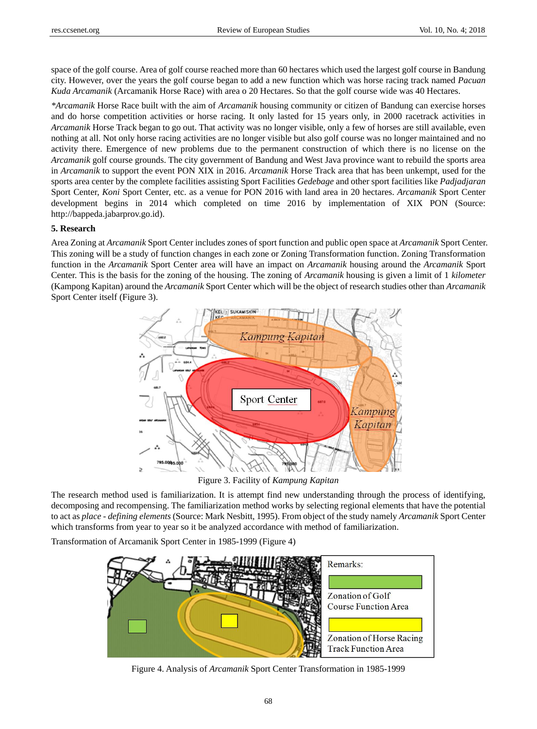space of the golf course. Area of golf course reached more than 60 hectares which used the largest golf course in Bandung city. However, over the years the golf course began to add a new function which was horse racing track named *Pacuan Kuda Arcamanik* (Arcamanik Horse Race) with area o 20 Hectares. So that the golf course wide was 40 Hectares.

*\*Arcamanik* Horse Race built with the aim of *Arcamanik* housing community or citizen of Bandung can exercise horses and do horse competition activities or horse racing. It only lasted for 15 years only, in 2000 racetrack activities in *Arcamanik* Horse Track began to go out. That activity was no longer visible, only a few of horses are still available, even nothing at all. Not only horse racing activities are no longer visible but also golf course was no longer maintained and no activity there. Emergence of new problems due to the permanent construction of which there is no license on the *Arcamanik* golf course grounds. The city government of Bandung and West Java province want to rebuild the sports area in *Arcamanik* to support the event PON XIX in 2016. *Arcamanik* Horse Track area that has been unkempt, used for the sports area center by the complete facilities assisting Sport Facilities *Gedebage* and other sport facilities like *Padjadjaran* Sport Center, *Koni* Sport Center, etc. as a venue for PON 2016 with land area in 20 hectares. *Arcamanik* Sport Center development begins in 2014 which completed on time 2016 by implementation of XIX PON (Source: [http://bappeda.jabarprov.go.id\)](http://bappeda.jabarprov.go.id/).

## **5. Research**

Area Zoning at *Arcamanik* Sport Center includes zones of sport function and public open space at *Arcamanik* Sport Center. This zoning will be a study of function changes in each zone or Zoning Transformation function. Zoning Transformation function in the *Arcamanik* Sport Center area will have an impact on *Arcamanik* housing around the *Arcamanik* Sport Center. This is the basis for the zoning of the housing. The zoning of *Arcamanik* housing is given a limit of 1 *kilometer* (Kampong Kapitan) around the *Arcamanik* Sport Center which will be the object of research studies other than *Arcamanik*  Sport Center itself (Figure 3).



Figure 3. Facility of *Kampung Kapitan*

The research method used is familiarization. It is attempt find new understanding through the process of identifying, decomposing and recompensing. The familiarization method works by selecting regional elements that have the potential to act as *place - defining elements* (Source: Mark Nesbitt, 1995). From object of the study namely *Arcamanik* Sport Center which transforms from year to year so it be analyzed accordance with method of familiarization.

Transformation of Arcamanik Sport Center in 1985-1999 (Figure 4)



Figure 4. Analysis of *Arcamanik* Sport Center Transformation in 1985-1999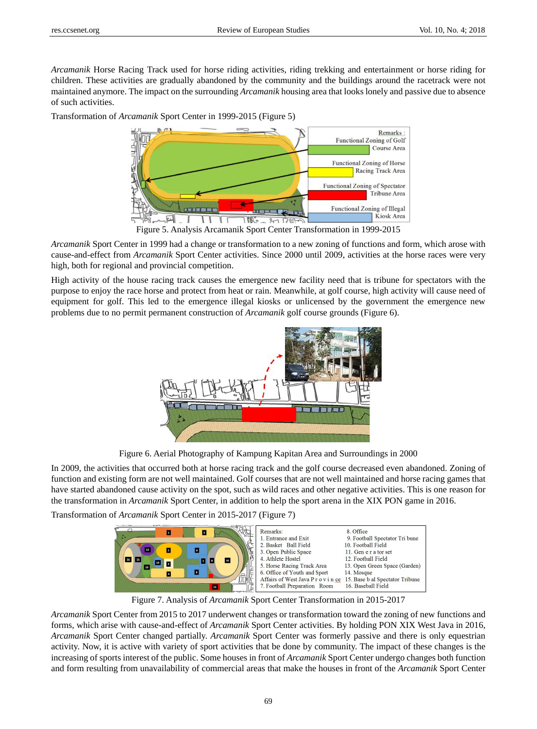*Arcamanik* Horse Racing Track used for horse riding activities, riding trekking and entertainment or horse riding for children. These activities are gradually abandoned by the community and the buildings around the racetrack were not maintained anymore. The impact on the surrounding *Arcamanik* housing area that looks lonely and passive due to absence of such activities.

Transformation of *Arcamanik* Sport Center in 1999-2015 (Figure 5)



Figure 5. Analysis Arcamanik Sport Center Transformation in 1999-2015

*Arcamanik* Sport Center in 1999 had a change or transformation to a new zoning of functions and form, which arose with cause-and-effect from *Arcamanik* Sport Center activities. Since 2000 until 2009, activities at the horse races were very high, both for regional and provincial competition.

High activity of the house racing track causes the emergence new facility need that is tribune for spectators with the purpose to enjoy the race horse and protect from heat or rain. Meanwhile, at golf course, high activity will cause need of equipment for golf. This led to the emergence illegal kiosks or unlicensed by the government the emergence new problems due to no permit permanent construction of *Arcamanik* golf course grounds (Figure 6).



Figure 6. Aerial Photography of Kampung Kapitan Area and Surroundings in 2000

In 2009, the activities that occurred both at horse racing track and the golf course decreased even abandoned. Zoning of function and existing form are not well maintained. Golf courses that are not well maintained and horse racing games that have started abandoned cause activity on the spot, such as wild races and other negative activities. This is one reason for the transformation in *Arcamanik* Sport Center, in addition to help the sport arena in the XIX PON game in 2016.

Transformation of *Arcamanik* Sport Center in 2015-2017 (Figure 7)



Figure 7. Analysis of *Arcamanik* Sport Center Transformation in 2015-2017

*Arcamanik* Sport Center from 2015 to 2017 underwent changes or transformation toward the zoning of new functions and forms, which arise with cause-and-effect of *Arcamanik* Sport Center activities. By holding PON XIX West Java in 2016, *Arcamanik* Sport Center changed partially. *Arcamanik* Sport Center was formerly passive and there is only equestrian activity. Now, it is active with variety of sport activities that be done by community. The impact of these changes is the increasing of sports interest of the public. Some houses in front of *Arcamanik* Sport Center undergo changes both function and form resulting from unavailability of commercial areas that make the houses in front of the *Arcamanik* Sport Center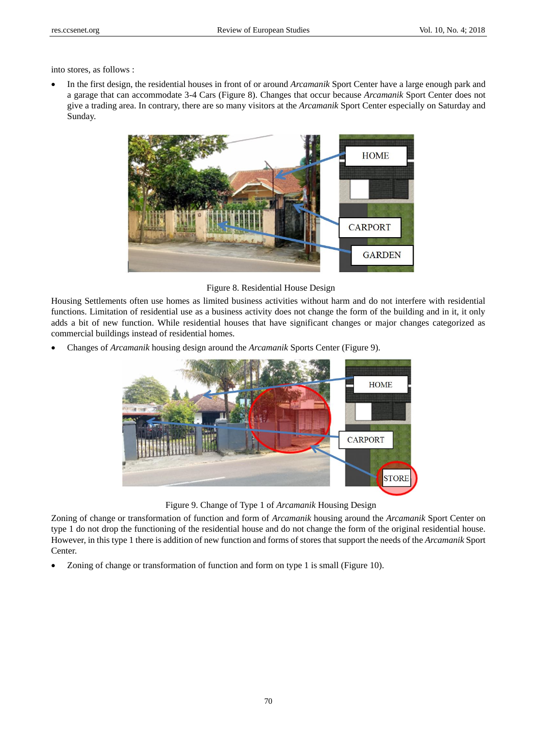into stores, as follows :

 In the first design, the residential houses in front of or around *Arcamanik* Sport Center have a large enough park and a garage that can accommodate 3-4 Cars (Figure 8). Changes that occur because *Arcamanik* Sport Center does not give a trading area. In contrary, there are so many visitors at the *Arcamanik* Sport Center especially on Saturday and Sunday.



Figure 8. Residential House Design

Housing Settlements often use homes as limited business activities without harm and do not interfere with residential functions. Limitation of residential use as a business activity does not change the form of the building and in it, it only adds a bit of new function. While residential houses that have significant changes or major changes categorized as commercial buildings instead of residential homes.

Changes of *Arcamanik* housing design around the *Arcamanik* Sports Center (Figure 9).



Figure 9. Change of Type 1 of *Arcamanik* Housing Design

Zoning of change or transformation of function and form of *Arcamanik* housing around the *Arcamanik* Sport Center on type 1 do not drop the functioning of the residential house and do not change the form of the original residential house. However, in this type 1 there is addition of new function and forms of stores that support the needs of the *Arcamanik* Sport Center.

Zoning of change or transformation of function and form on type 1 is small (Figure 10).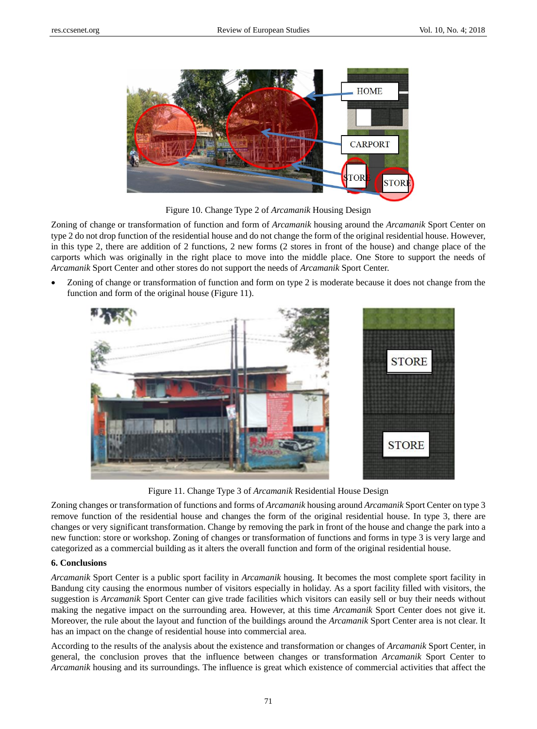

Figure 10. Change Type 2 of *Arcamanik* Housing Design

Zoning of change or transformation of function and form of *Arcamanik* housing around the *Arcamanik* Sport Center on type 2 do not drop function of the residential house and do not change the form of the original residential house. However, in this type 2, there are addition of 2 functions, 2 new forms (2 stores in front of the house) and change place of the carports which was originally in the right place to move into the middle place. One Store to support the needs of *Arcamanik* Sport Center and other stores do not support the needs of *Arcamanik* Sport Center.

 Zoning of change or transformation of function and form on type 2 is moderate because it does not change from the function and form of the original house (Figure 11).



Figure 11. Change Type 3 of *Arcamanik* Residential House Design

Zoning changes or transformation of functions and forms of *Arcamanik* housing around *Arcamanik* Sport Center on type 3 remove function of the residential house and changes the form of the original residential house. In type 3, there are changes or very significant transformation. Change by removing the park in front of the house and change the park into a new function: store or workshop. Zoning of changes or transformation of functions and forms in type 3 is very large and categorized as a commercial building as it alters the overall function and form of the original residential house.

## **6. Conclusions**

*Arcamanik* Sport Center is a public sport facility in *Arcamanik* housing. It becomes the most complete sport facility in Bandung city causing the enormous number of visitors especially in holiday. As a sport facility filled with visitors, the suggestion is *Arcamanik* Sport Center can give trade facilities which visitors can easily sell or buy their needs without making the negative impact on the surrounding area. However, at this time *Arcamanik* Sport Center does not give it. Moreover, the rule about the layout and function of the buildings around the *Arcamanik* Sport Center area is not clear. It has an impact on the change of residential house into commercial area.

According to the results of the analysis about the existence and transformation or changes of *Arcamanik* Sport Center, in general, the conclusion proves that the influence between changes or transformation *Arcamanik* Sport Center to *Arcamanik* housing and its surroundings. The influence is great which existence of commercial activities that affect the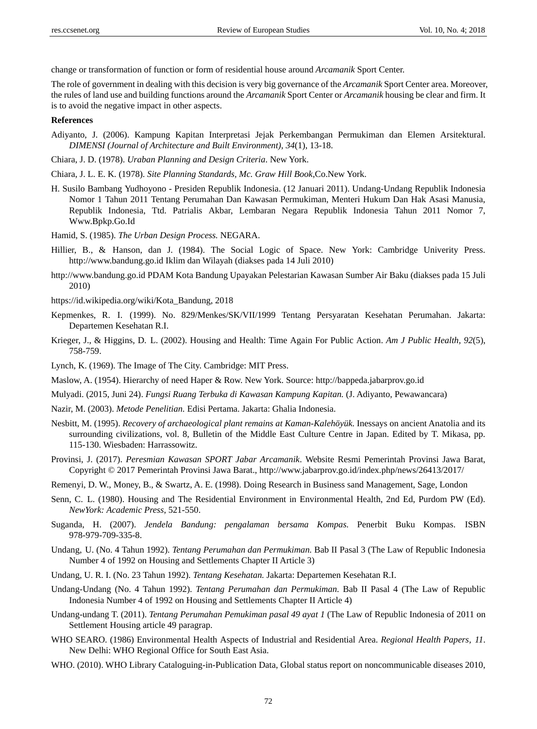change or transformation of function or form of residential house around *Arcamanik* Sport Center.

The role of government in dealing with this decision is very big governance of the *Arcamanik* Sport Center area. Moreover, the rules of land use and building functions around the *Arcamanik* Sport Center or *Arcamanik* housing be clear and firm. It is to avoid the negative impact in other aspects.

#### **References**

- Adiyanto, J. (2006). Kampung Kapitan Interpretasi Jejak Perkembangan Permukiman dan Elemen Arsitektural. *DIMENSI (Journal of Architecture and Built Environment)*, *34*(1), 13-18.
- Chiara, J. D. (1978). *Uraban Planning and Design Criteria*. New York.
- Chiara, J. L. E. K. (1978). *Site Planning Standards, Mc. Graw Hill Book*,Co.New York.
- H. Susilo Bambang Yudhoyono Presiden Republik Indonesia. (12 Januari 2011). Undang-Undang Republik Indonesia Nomor 1 Tahun 2011 Tentang Perumahan Dan Kawasan Permukiman, Menteri Hukum Dan Hak Asasi Manusia, Republik Indonesia, Ttd. Patrialis Akbar, Lembaran Negara Republik Indonesia Tahun 2011 Nomor 7, [Www.Bpkp.Go.Id](http://www.bpkp.go.id/)
- Hamid, S. (1985). *The Urban Design Process.* NEGARA.
- Hillier, B., & Hanson, dan J. (1984). The Social Logic of Space. New York: Cambridge Univerity Press. [http://www.bandung.go.id](http://www.bandung.go.id/) [Iklim dan Wilayah](http://www.bandung.go.id/?fa=sekilas.detail&id=12) (diakses pada 14 Juli 2010)
- [http://www.bandung.go.id](http://www.bandung.go.id/) [PDAM Kota Bandung Upayakan Pelestarian Kawasan Sumber Air Baku](http://www.bandung.go.id/?fa=berita.detail&id=803) (diakses pada 15 Juli 2010)
- [https://id.wikipedia.org/wiki/Kota\\_Bandung,](https://id.wikipedia.org/wiki/Kota_Bandung) 2018
- Kepmenkes, R. I. (1999). No. 829/Menkes/SK/VII/1999 Tentang Persyaratan Kesehatan Perumahan. Jakarta: Departemen Kesehatan R.I.
- Krieger, J., & Higgins, D. L. (2002). Housing and Health: Time Again For Public Action. *Am J Public Health, 92*(5), 758-759.
- Lynch, K. (1969). The Image of The City. Cambridge: MIT Press.
- Maslow, A. (1954). Hierarchy of need Haper & Row. New York. Source: [http://bappeda.jabarprov.go.id](http://bappeda.jabarprov.go.id/)
- Mulyadi. (2015, Juni 24). *Fungsi Ruang Terbuka di Kawasan Kampung Kapitan.* (J. Adiyanto, Pewawancara)
- Nazir, M. (2003). *Metode Penelitian.* Edisi Pertama. Jakarta: Ghalia Indonesia.
- Nesbitt, M. (1995). *[Recovery of archaeological plant remains at Kaman-Kalehöyük](http://ancientgrains.org/nesbitt1995flotation.pdf)*. Inessays on ancient Anatolia and its surrounding civilizations, vol. 8, Bulletin of the Middle East Culture Centre in Japan. Edited by T. Mikasa, pp. 115-130. Wiesbaden: Harrassowitz.
- Provinsi, J. (2017). *Peresmian Kawasan SPORT Jabar Arcamanik*. Website Resmi Pemerintah Provinsi Jawa Barat, Copyright © 2017 Pemerintah Provinsi Jawa Barat.,<http://www.jabarprov.go.id/index.php/news/26413/2017/>
- Remenyi, D. W., Money, B., & Swartz, A. E. (1998). Doing Research in Business sand Management, Sage, London
- Senn, C. L. (1980). Housing and The Residential Environment in Environmental Health, 2nd Ed, Purdom PW (Ed). *NewYork: Academic Press*, 521-550.
- Suganda, H. (2007). *Jendela Bandung: pengalaman bersama Kompas.* Penerbit Buku Kompas. [ISBN](https://id.wikipedia.org/wiki/Istimewa:Sumber_buku/9789797093358)  [978-979-709-335-8.](https://id.wikipedia.org/wiki/Istimewa:Sumber_buku/9789797093358)
- Undang, U. (No. 4 Tahun 1992). *Tentang Perumahan dan Permukiman.* Bab II Pasal 3 (The Law of Republic Indonesia Number 4 of 1992 on Housing and Settlements Chapter II Article 3)
- Undang, U. R. I. (No. 23 Tahun 1992). *Tentang Kesehatan.* Jakarta: Departemen Kesehatan R.I.
- Undang-Undang (No. 4 Tahun 1992). *Tentang Perumahan dan Permukiman.* Bab II Pasal 4 (The Law of Republic Indonesia Number 4 of 1992 on Housing and Settlements Chapter II Article 4)
- Undang-undang T. (2011). *Tentang Perumahan Pemukiman pasal 49 ayat 1* (The Law of Republic Indonesia of 2011 on Settlement Housing article 49 paragrap.
- WHO SEARO. (1986) Environmental Health Aspects of Industrial and Residential Area. *Regional Health Papers, 11*. New Delhi: WHO Regional Office for South East Asia.
- WHO. (2010). WHO Library Cataloguing-in-Publication Data, Global status report on noncommunicable diseases 2010,